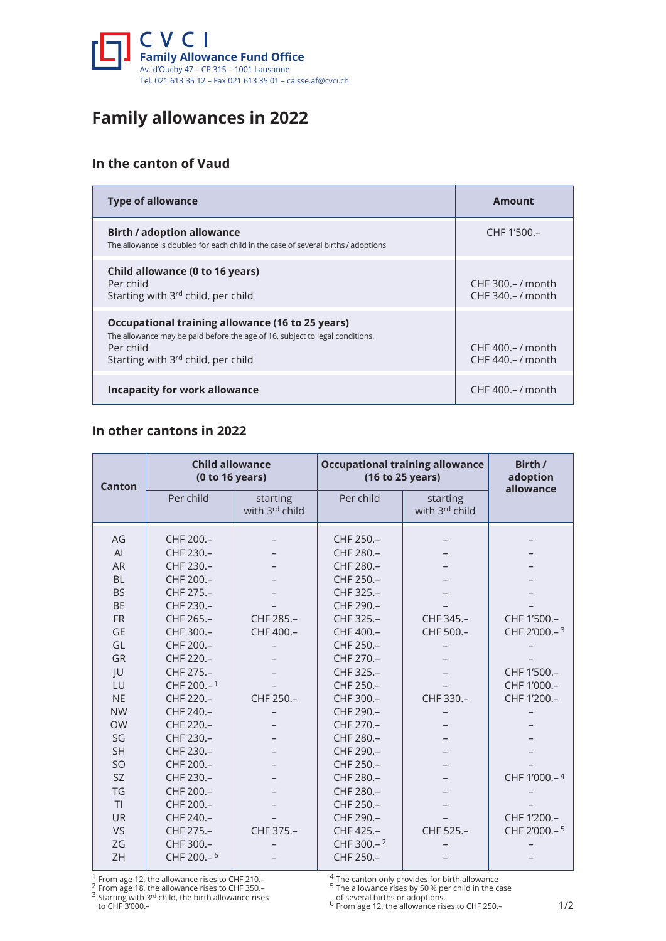

# **Family allowances in 2022**

## **In the canton of Vaud**

| <b>Type of allowance</b>                                                                                                                                                            | Amount                                   |
|-------------------------------------------------------------------------------------------------------------------------------------------------------------------------------------|------------------------------------------|
| <b>Birth / adoption allowance</b><br>The allowance is doubled for each child in the case of several births / adoptions                                                              | CHF 1'500.-                              |
| Child allowance (0 to 16 years)<br>Per child<br>Starting with 3rd child, per child                                                                                                  | CHF 300. - / month<br>CHF 340. - / month |
| Occupational training allowance (16 to 25 years)<br>The allowance may be paid before the age of 16, subject to legal conditions.<br>Per child<br>Starting with 3rd child, per child | CHF 400. - / month<br>CHF 440. - / month |
| Incapacity for work allowance                                                                                                                                                       | CHF 400. - / month                       |

#### **In other cantons in 2022**

| <b>Canton</b>  | <b>Child allowance</b><br>(0 to 16 years) |                            | <b>Occupational training allowance</b><br>(16 to 25 years) |                            | Birth /<br>adoption<br>allowance |
|----------------|-------------------------------------------|----------------------------|------------------------------------------------------------|----------------------------|----------------------------------|
|                | Per child                                 | starting<br>with 3rd child | Per child                                                  | starting<br>with 3rd child |                                  |
| AG             | CHF 200.-                                 |                            | CHF 250.-                                                  |                            |                                  |
| AI             | CHF 230.-                                 |                            | CHF 280.-                                                  |                            |                                  |
| <b>AR</b>      | CHF 230.-                                 |                            | CHF 280.-                                                  |                            |                                  |
| <b>BL</b>      | CHF 200.-                                 |                            | CHF 250.-                                                  |                            |                                  |
| <b>BS</b>      | CHF 275.-                                 |                            | CHF 325.-                                                  |                            |                                  |
| <b>BE</b>      | CHF 230.-                                 |                            | CHF 290.-                                                  |                            |                                  |
| <b>FR</b>      | CHF 265.-                                 | CHF 285.-                  | CHF 325.-                                                  | CHF 345.-                  | CHF 1'500.-                      |
| <b>GE</b>      | CHF 300.-                                 | CHF 400.-                  | CHF 400.-                                                  | CHF 500.-                  | CHF 2'000 .- 3                   |
| GL             | CHF 200.-                                 |                            | CHF 250.-                                                  |                            |                                  |
| GR             | CHF 220 .-                                |                            | CHF 270 .-                                                 |                            |                                  |
| JU             | CHF 275.-                                 |                            | CHF 325.-                                                  |                            | CHF 1'500 .-                     |
| LU             | CHF 200.-1                                |                            | CHF 250.-                                                  |                            | CHF 1'000 .-                     |
| <b>NE</b>      | CHF 220.-                                 | CHF 250.-                  | CHF 300.-                                                  | CHF 330.-                  | CHF 1'200 .-                     |
| <b>NW</b>      | CHF 240.-                                 |                            | CHF 290.-                                                  |                            |                                  |
| <b>OW</b>      | CHF 220.-                                 |                            | CHF 270.-                                                  |                            |                                  |
| SG             | CHF 230.-                                 |                            | CHF 280 .-                                                 |                            |                                  |
| <b>SH</b>      | CHF 230.-                                 |                            | CHF 290.-                                                  |                            |                                  |
| <b>SO</b>      | CHF 200.-                                 |                            | CHF 250.-                                                  |                            |                                  |
| <b>SZ</b>      | CHF 230.-                                 |                            | CHF 280.-                                                  |                            | CHF 1'000 .- 4                   |
| TG             | CHF 200.-                                 |                            | CHF 280.-                                                  |                            |                                  |
| T <sub>l</sub> | CHF 200 .-                                |                            | CHF 250.-                                                  |                            |                                  |
| <b>UR</b>      | CHF 240.-                                 |                            | CHF 290.-                                                  |                            | CHF 1'200 .-                     |
| <b>VS</b>      | CHF 275.-                                 | CHF 375.-                  | CHF 425.-                                                  | CHF 525.-                  | CHF 2'000 .- 5                   |
| ZG             | CHF 300 .-                                |                            | CHF 300 .- 2                                               |                            |                                  |
| ZH             | CHF 200.-6                                |                            | CHF 250.-                                                  |                            |                                  |

<sup>1</sup> From age 12, the allowance rises to CHF 210.–<br><sup>2</sup> From age 18, the allowance rises to CHF 350.–<br><sup>3</sup> Starting with 3<sup>rd</sup> child, the birth allowance rises

to CHF 3'000.–

 $^4$  The canton only provides for birth allowance<br> $^5$  The allowance rises by 50 % per child in the case

of several births or adoptions.<br> $^6$  From age 12, the allowance rises to CHF 250.–